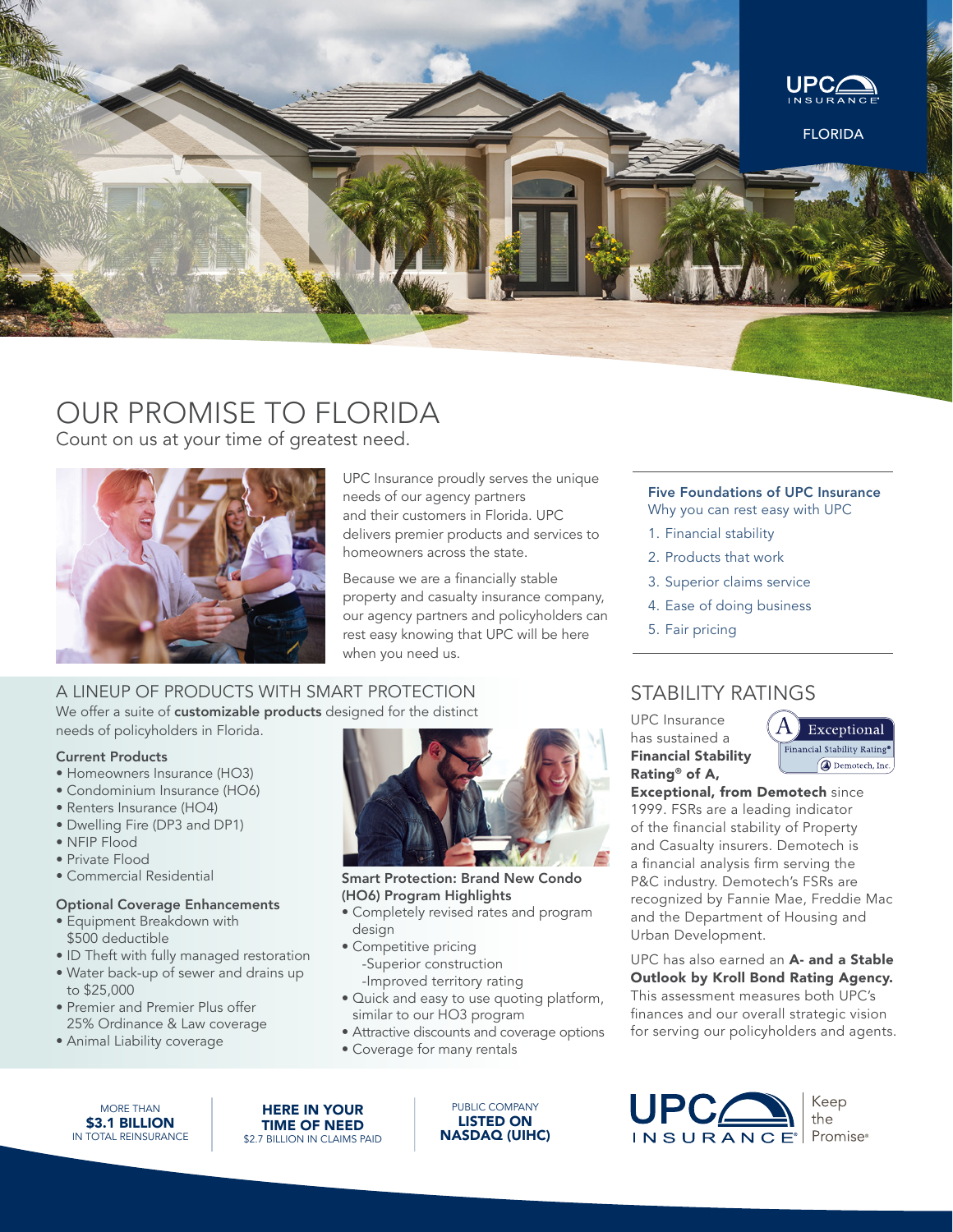

# OUR PROMISE TO FLORIDA

Count on us at your time of greatest need.



UPC Insurance proudly serves the unique needs of our agency partners and their customers in Florida. UPC delivers premier products and services to homeowners across the state.

Because we are a financially stable property and casualty insurance company, our agency partners and policyholders can rest easy knowing that UPC will be here when you need us.

## A LINEUP OF PRODUCTS WITH SMART PROTECTION We offer a suite of customizable products designed for the distinct needs of policyholders in Florida.

### Current Products

- Homeowners Insurance (HO3)
- Condominium Insurance (HO6)
- Renters Insurance (HO4)
- Dwelling Fire (DP3 and DP1)
- NFIP Flood
- Private Flood
- Commercial Residential

### Optional Coverage Enhancements

- Equipment Breakdown with \$500 deductible
- ID Theft with fully managed restoration
- Water back-up of sewer and drains up to \$25,000
- Premier and Premier Plus offer 25% Ordinance & Law coverage
- Animal Liability coverage



Smart Protection: Brand New Condo (HO6) Program Highlights

- Completely revised rates and program design
- Competitive pricing -Superior construction -Improved territory rating
- Quick and easy to use quoting platform, similar to our HO3 program
- Attractive discounts and coverage options
- Coverage for many rentals

MORE THAN **\$3.1 BILLION** IN TOTAL REINSURANCE

HERE IN YOUR TIME OF NEED \$2.7 BILLION IN CLAIMS PAID

PUBLIC COMPANY LISTED ON NASDAQ (UIHC)

# Five Foundations of UPC Insurance

- Why you can rest easy with UPC
- 1. Financial stability
- 2. Products that work
- 3. Superior claims service
- 4. Ease of doing business
- 5. Fair pricing

# STABILITY RATINGS

UPC Insurance has sustained a Financial Stability Rating® of A,



Exceptional, from Demotech since 1999. FSRs are a leading indicator of the financial stability of Property and Casualty insurers. Demotech is a financial analysis firm serving the P&C industry. Demotech's FSRs are recognized by Fannie Mae, Freddie Mac and the Department of Housing and Urban Development.

# UPC has also earned an A- and a Stable Outlook by Kroll Bond Rating Agency.

This assessment measures both UPC's finances and our overall strategic vision for serving our policyholders and agents.